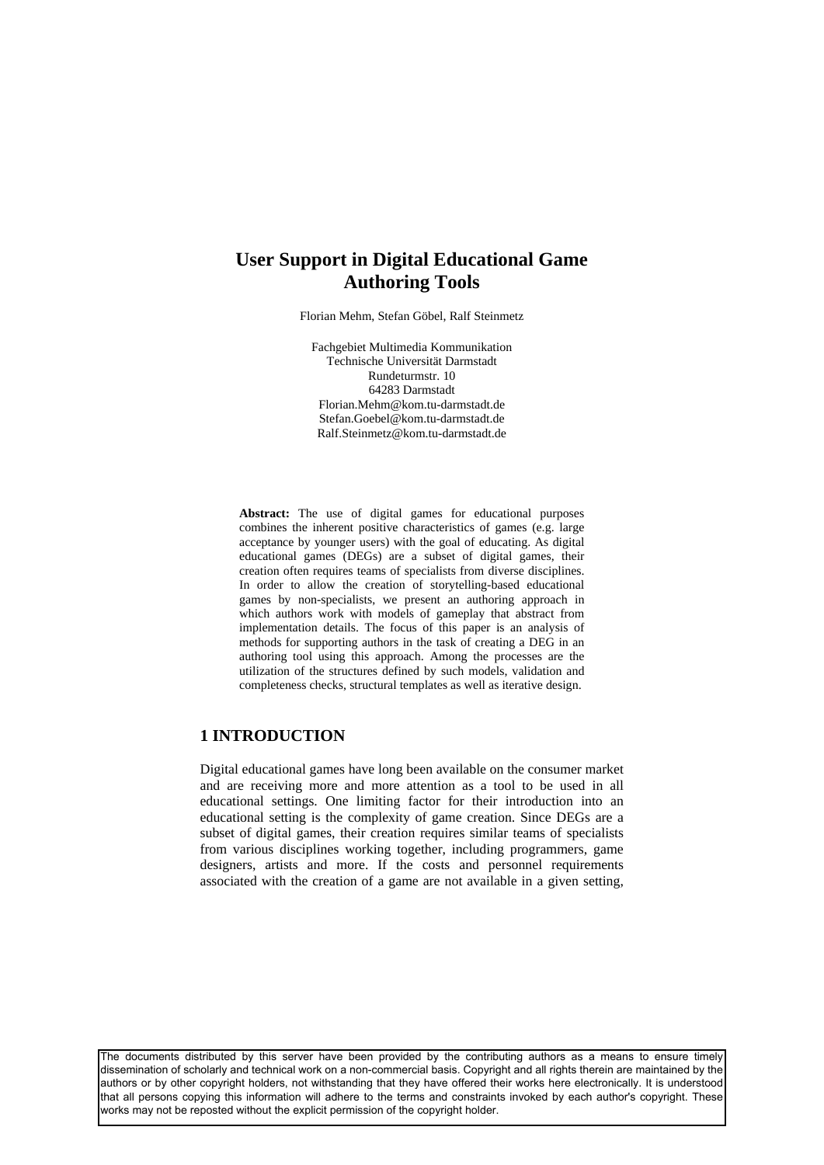# **User Support in Digital Educational Game Authoring Tools**

Florian Mehm, Stefan Göbel, Ralf Steinmetz

Fachgebiet Multimedia Kommunikation Technische Universität Darmstadt Rundeturmstr. 10 64283 Darmstadt Florian.Mehm@kom.tu-darmstadt.de Stefan.Goebel@kom.tu-darmstadt.de Ralf.Steinmetz@kom.tu-darmstadt.de

**Abstract:** The use of digital games for educational purposes combines the inherent positive characteristics of games (e.g. large acceptance by younger users) with the goal of educating. As digital educational games (DEGs) are a subset of digital games, their creation often requires teams of specialists from diverse disciplines. In order to allow the creation of storytelling-based educational games by non-specialists, we present an authoring approach in which authors work with models of gameplay that abstract from implementation details. The focus of this paper is an analysis of methods for supporting authors in the task of creating a DEG in an authoring tool using this approach. Among the processes are the utilization of the structures defined by such models, validation and completeness checks, structural templates as well as iterative design.

## **1 INTRODUCTION**

Digital educational games have long been available on the consumer market and are receiving more and more attention as a tool to be used in all educational settings. One limiting factor for their introduction into an educational setting is the complexity of game creation. Since DEGs are a subset of digital games, their creation requires similar teams of specialists from various disciplines working together, including programmers, game designers, artists and more. If the costs and personnel requirements associated with the creation of a game are not available in a given setting,

The documents distributed by this server have been provided by the contributing authors as a means to ensure timely dissemination of scholarly and technical work on a non-commercial basis. Copyright and all rights therein are maintained by the authors or by other copyright holders, not withstanding that they have offered their works here electronically. It is understood that all persons copying this information will adhere to the terms and constraints invoked by each author's copyright. These works may not be reposted without the explicit permission of the copyright holder.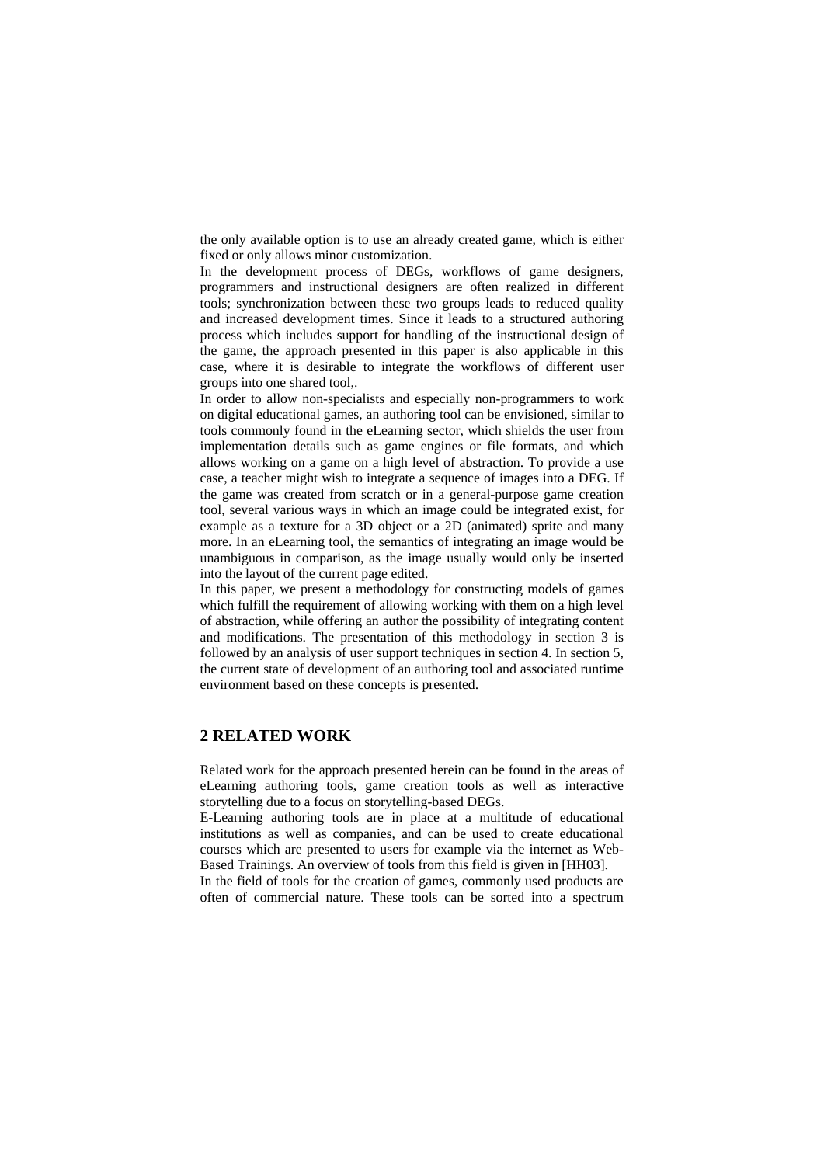the only available option is to use an already created game, which is either fixed or only allows minor customization.

In the development process of DEGs, workflows of game designers, programmers and instructional designers are often realized in different tools; synchronization between these two groups leads to reduced quality and increased development times. Since it leads to a structured authoring process which includes support for handling of the instructional design of the game, the approach presented in this paper is also applicable in this case, where it is desirable to integrate the workflows of different user groups into one shared tool,.

In order to allow non-specialists and especially non-programmers to work on digital educational games, an authoring tool can be envisioned, similar to tools commonly found in the eLearning sector, which shields the user from implementation details such as game engines or file formats, and which allows working on a game on a high level of abstraction. To provide a use case, a teacher might wish to integrate a sequence of images into a DEG. If the game was created from scratch or in a general-purpose game creation tool, several various ways in which an image could be integrated exist, for example as a texture for a 3D object or a 2D (animated) sprite and many more. In an eLearning tool, the semantics of integrating an image would be unambiguous in comparison, as the image usually would only be inserted into the layout of the current page edited.

In this paper, we present a methodology for constructing models of games which fulfill the requirement of allowing working with them on a high level of abstraction, while offering an author the possibility of integrating content and modifications. The presentation of this methodology in section 3 is followed by an analysis of user support techniques in section 4. In section 5, the current state of development of an authoring tool and associated runtime environment based on these concepts is presented.

### **2 RELATED WORK**

Related work for the approach presented herein can be found in the areas of eLearning authoring tools, game creation tools as well as interactive storytelling due to a focus on storytelling-based DEGs.

E-Learning authoring tools are in place at a multitude of educational institutions as well as companies, and can be used to create educational courses which are presented to users for example via the internet as Web-Based Trainings. An overview of tools from this field is given in [HH03].

In the field of tools for the creation of games, commonly used products are often of commercial nature. These tools can be sorted into a spectrum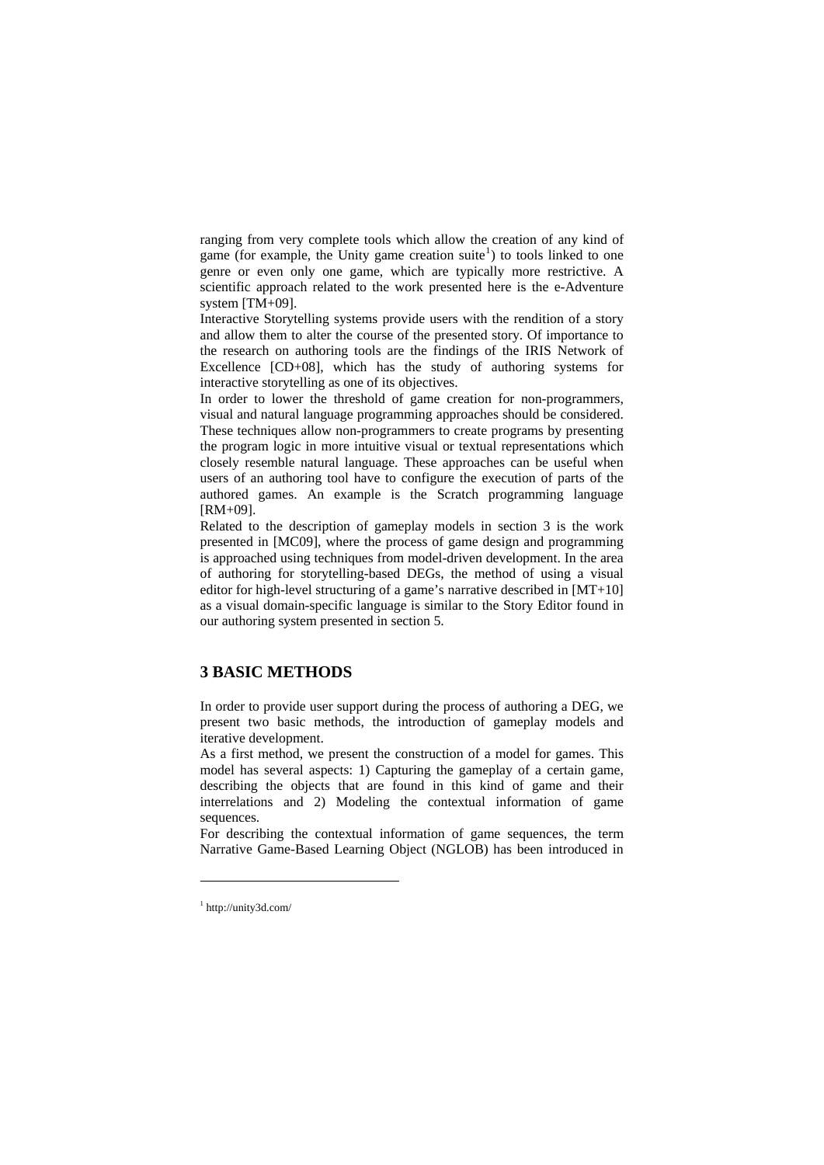ranging from very complete tools which allow the creation of any kind of game (for example, the Unity game creation suite<sup>[1](#page-2-0)</sup>) to tools linked to one genre or even only one game, which are typically more restrictive. A scientific approach related to the work presented here is the e-Adventure system [TM+09].

Interactive Storytelling systems provide users with the rendition of a story and allow them to alter the course of the presented story. Of importance to the research on authoring tools are the findings of the IRIS Network of Excellence [CD+08], which has the study of authoring systems for interactive storytelling as one of its objectives.

In order to lower the threshold of game creation for non-programmers, visual and natural language programming approaches should be considered. These techniques allow non-programmers to create programs by presenting the program logic in more intuitive visual or textual representations which closely resemble natural language. These approaches can be useful when users of an authoring tool have to configure the execution of parts of the authored games. An example is the Scratch programming language [RM+09].

Related to the description of gameplay models in section 3 is the work presented in [MC09], where the process of game design and programming is approached using techniques from model-driven development. In the area of authoring for storytelling-based DEGs, the method of using a visual editor for high-level structuring of a game's narrative described in [MT+10] as a visual domain-specific language is similar to the Story Editor found in our authoring system presented in section 5.

### **3 BASIC METHODS**

In order to provide user support during the process of authoring a DEG, we present two basic methods, the introduction of gameplay models and iterative development.

As a first method, we present the construction of a model for games. This model has several aspects: 1) Capturing the gameplay of a certain game, describing the objects that are found in this kind of game and their interrelations and 2) Modeling the contextual information of game sequences.

For describing the contextual information of game sequences, the term Narrative Game-Based Learning Object (NGLOB) has been introduced in

 $\overline{a}$ 

<span id="page-2-0"></span><sup>1</sup> http://unity3d.com/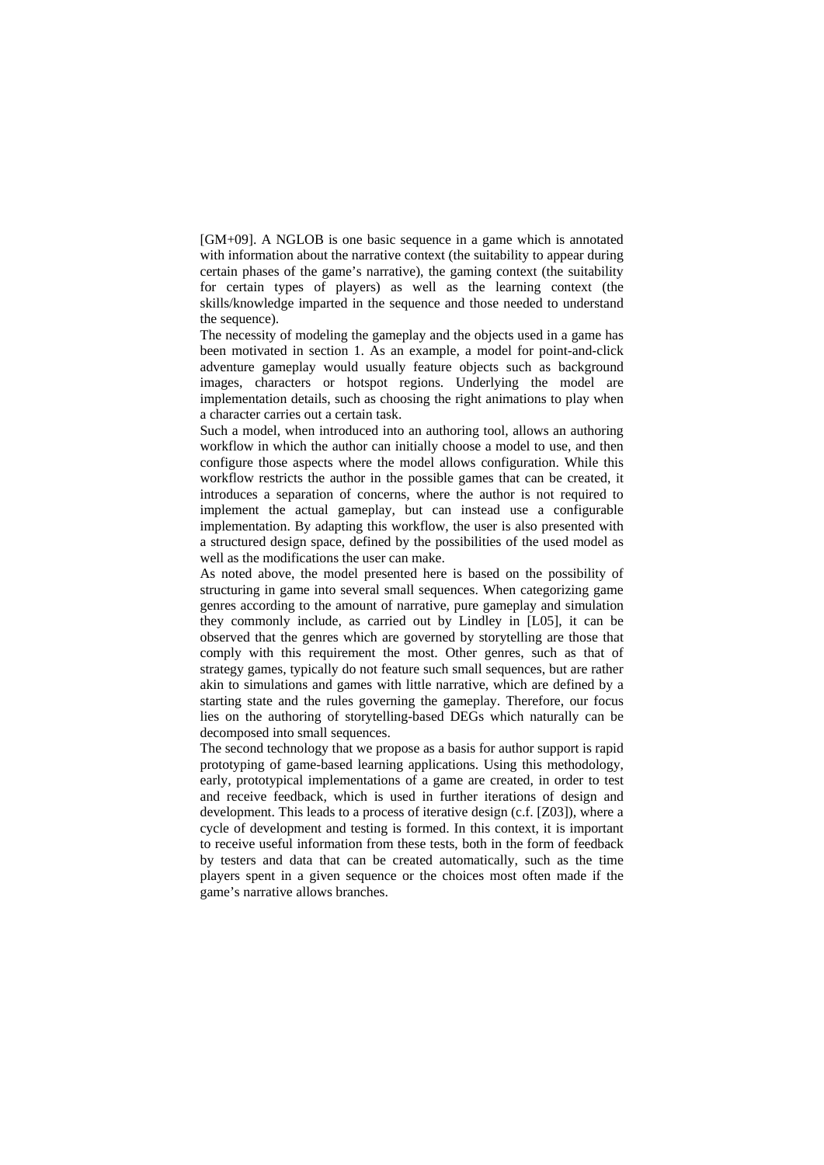[GM+09]. A NGLOB is one basic sequence in a game which is annotated with information about the narrative context (the suitability to appear during certain phases of the game's narrative), the gaming context (the suitability for certain types of players) as well as the learning context (the skills/knowledge imparted in the sequence and those needed to understand the sequence).

The necessity of modeling the gameplay and the objects used in a game has been motivated in section 1. As an example, a model for point-and-click adventure gameplay would usually feature objects such as background images, characters or hotspot regions. Underlying the model are implementation details, such as choosing the right animations to play when a character carries out a certain task.

Such a model, when introduced into an authoring tool, allows an authoring workflow in which the author can initially choose a model to use, and then configure those aspects where the model allows configuration. While this workflow restricts the author in the possible games that can be created, it introduces a separation of concerns, where the author is not required to implement the actual gameplay, but can instead use a configurable implementation. By adapting this workflow, the user is also presented with a structured design space, defined by the possibilities of the used model as well as the modifications the user can make.

As noted above, the model presented here is based on the possibility of structuring in game into several small sequences. When categorizing game genres according to the amount of narrative, pure gameplay and simulation they commonly include, as carried out by Lindley in [L05], it can be observed that the genres which are governed by storytelling are those that comply with this requirement the most. Other genres, such as that of strategy games, typically do not feature such small sequences, but are rather akin to simulations and games with little narrative, which are defined by a starting state and the rules governing the gameplay. Therefore, our focus lies on the authoring of storytelling-based DEGs which naturally can be decomposed into small sequences.

The second technology that we propose as a basis for author support is rapid prototyping of game-based learning applications. Using this methodology, early, prototypical implementations of a game are created, in order to test and receive feedback, which is used in further iterations of design and development. This leads to a process of iterative design (c.f. [Z03]), where a cycle of development and testing is formed. In this context, it is important to receive useful information from these tests, both in the form of feedback by testers and data that can be created automatically, such as the time players spent in a given sequence or the choices most often made if the game's narrative allows branches.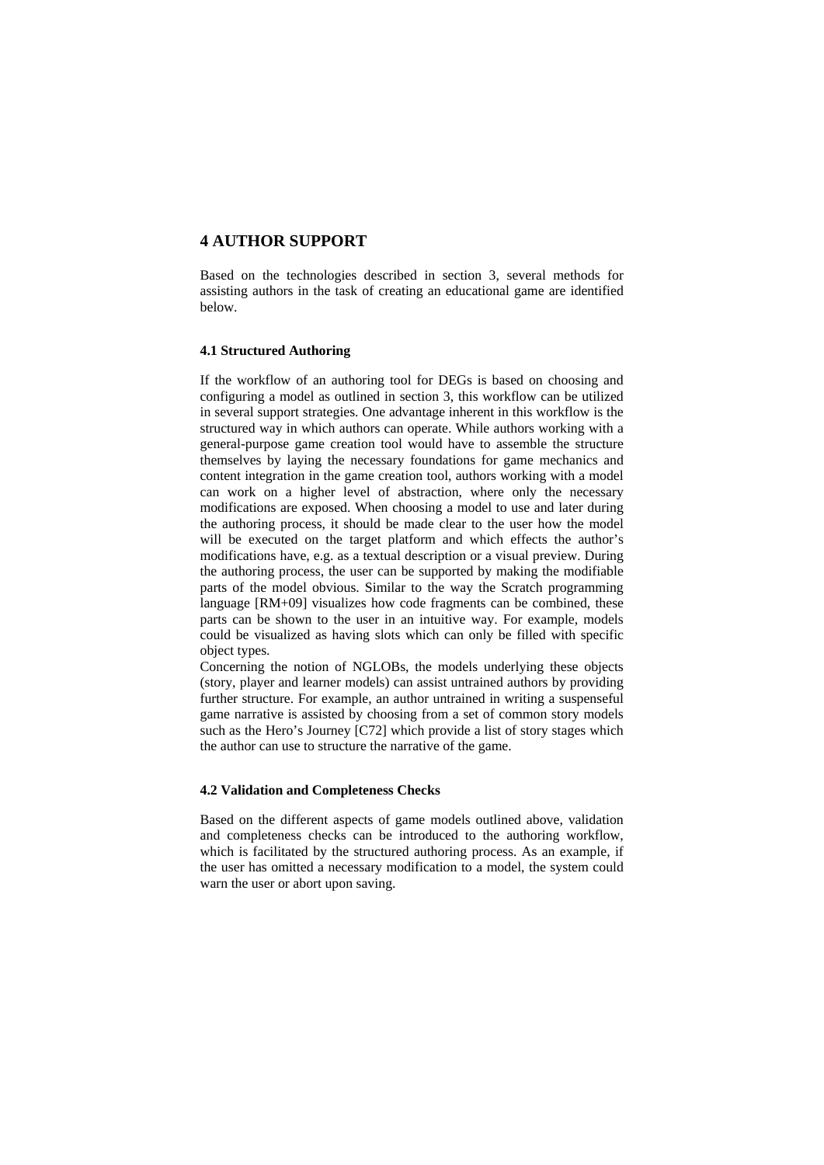## **4 AUTHOR SUPPORT**

Based on the technologies described in section 3, several methods for assisting authors in the task of creating an educational game are identified below.

#### **4.1 Structured Authoring**

If the workflow of an authoring tool for DEGs is based on choosing and configuring a model as outlined in section 3, this workflow can be utilized in several support strategies. One advantage inherent in this workflow is the structured way in which authors can operate. While authors working with a general-purpose game creation tool would have to assemble the structure themselves by laying the necessary foundations for game mechanics and content integration in the game creation tool, authors working with a model can work on a higher level of abstraction, where only the necessary modifications are exposed. When choosing a model to use and later during the authoring process, it should be made clear to the user how the model will be executed on the target platform and which effects the author's modifications have, e.g. as a textual description or a visual preview. During the authoring process, the user can be supported by making the modifiable parts of the model obvious. Similar to the way the Scratch programming language [RM+09] visualizes how code fragments can be combined, these parts can be shown to the user in an intuitive way. For example, models could be visualized as having slots which can only be filled with specific object types.

Concerning the notion of NGLOBs, the models underlying these objects (story, player and learner models) can assist untrained authors by providing further structure. For example, an author untrained in writing a suspenseful game narrative is assisted by choosing from a set of common story models such as the Hero's Journey [C72] which provide a list of story stages which the author can use to structure the narrative of the game.

#### **4.2 Validation and Completeness Checks**

Based on the different aspects of game models outlined above, validation and completeness checks can be introduced to the authoring workflow, which is facilitated by the structured authoring process. As an example, if the user has omitted a necessary modification to a model, the system could warn the user or abort upon saving.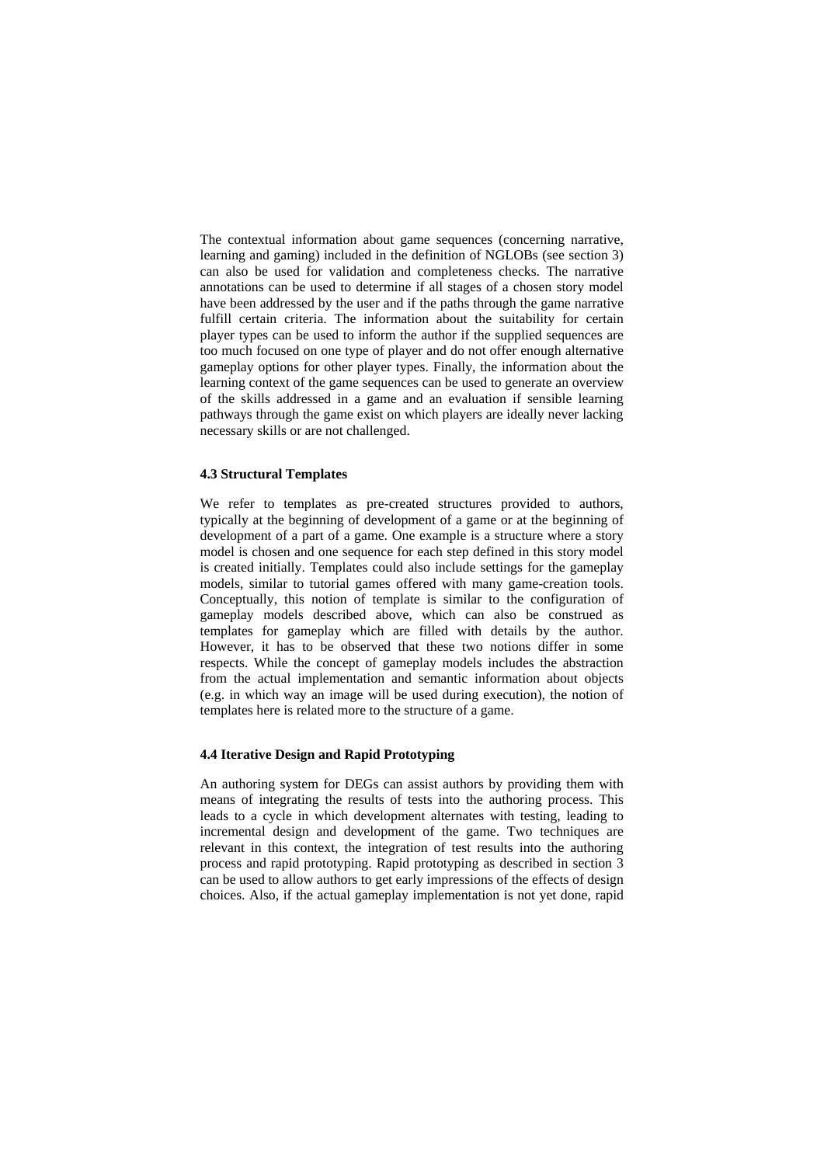The contextual information about game sequences (concerning narrative, learning and gaming) included in the definition of NGLOBs (see section 3) can also be used for validation and completeness checks. The narrative annotations can be used to determine if all stages of a chosen story model have been addressed by the user and if the paths through the game narrative fulfill certain criteria. The information about the suitability for certain player types can be used to inform the author if the supplied sequences are too much focused on one type of player and do not offer enough alternative gameplay options for other player types. Finally, the information about the learning context of the game sequences can be used to generate an overview of the skills addressed in a game and an evaluation if sensible learning pathways through the game exist on which players are ideally never lacking necessary skills or are not challenged.

#### **4.3 Structural Templates**

We refer to templates as pre-created structures provided to authors, typically at the beginning of development of a game or at the beginning of development of a part of a game. One example is a structure where a story model is chosen and one sequence for each step defined in this story model is created initially. Templates could also include settings for the gameplay models, similar to tutorial games offered with many game-creation tools. Conceptually, this notion of template is similar to the configuration of gameplay models described above, which can also be construed as templates for gameplay which are filled with details by the author. However, it has to be observed that these two notions differ in some respects. While the concept of gameplay models includes the abstraction from the actual implementation and semantic information about objects (e.g. in which way an image will be used during execution), the notion of templates here is related more to the structure of a game.

### **4.4 Iterative Design and Rapid Prototyping**

An authoring system for DEGs can assist authors by providing them with means of integrating the results of tests into the authoring process. This leads to a cycle in which development alternates with testing, leading to incremental design and development of the game. Two techniques are relevant in this context, the integration of test results into the authoring process and rapid prototyping. Rapid prototyping as described in section 3 can be used to allow authors to get early impressions of the effects of design choices. Also, if the actual gameplay implementation is not yet done, rapid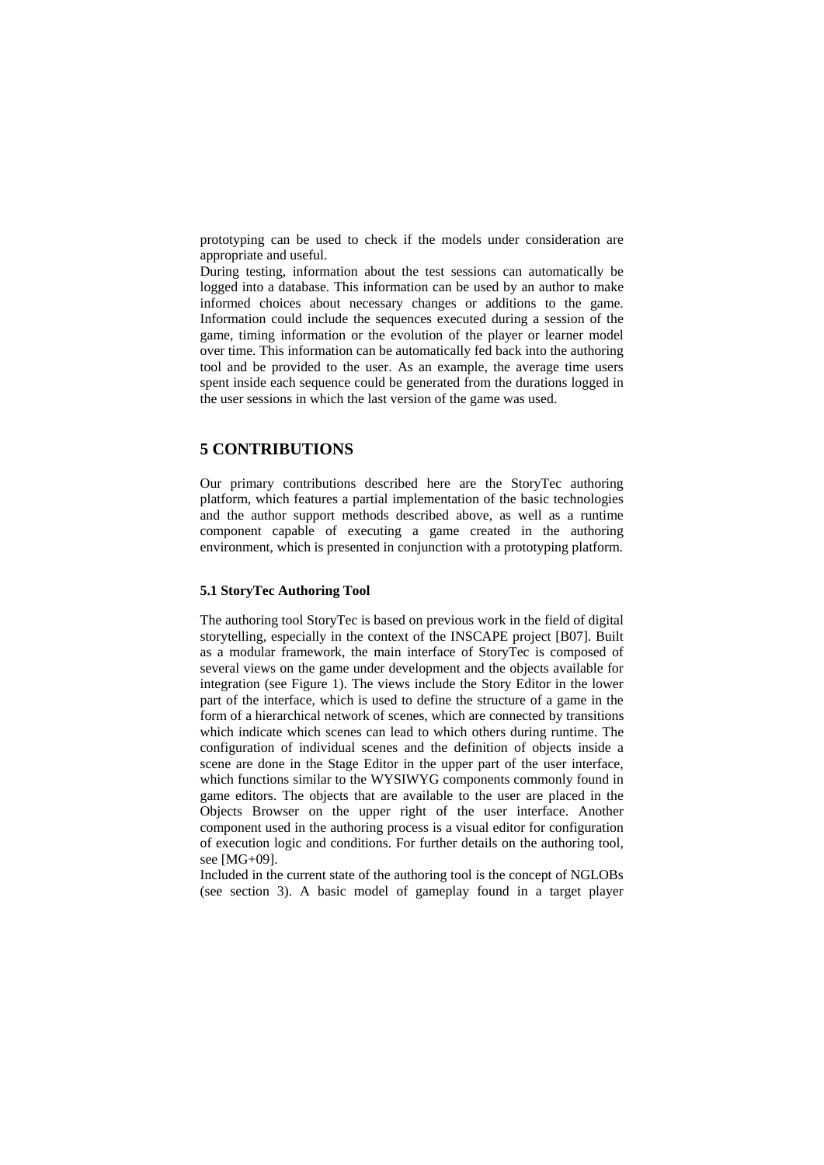prototyping can be used to check if the models under consideration are appropriate and useful.

During testing, information about the test sessions can automatically be logged into a database. This information can be used by an author to make informed choices about necessary changes or additions to the game. Information could include the sequences executed during a session of the game, timing information or the evolution of the player or learner model over time. This information can be automatically fed back into the authoring tool and be provided to the user. As an example, the average time users spent inside each sequence could be generated from the durations logged in the user sessions in which the last version of the game was used.

### **5 CONTRIBUTIONS**

Our primary contributions described here are the StoryTec authoring platform, which features a partial implementation of the basic technologies and the author support methods described above, as well as a runtime component capable of executing a game created in the authoring environment, which is presented in conjunction with a prototyping platform.

### **5.1 StoryTec Authoring Tool**

The authoring tool StoryTec is based on previous work in the field of digital storytelling, especially in the context of the INSCAPE project [B07]. Built as a modular framework, the main interface of StoryTec is composed of several views on the game under development and the objects available for integration (see Figure 1). The views include the Story Editor in the lower part of the interface, which is used to define the structure of a game in the form of a hierarchical network of scenes, which are connected by transitions which indicate which scenes can lead to which others during runtime. The configuration of individual scenes and the definition of objects inside a scene are done in the Stage Editor in the upper part of the user interface, which functions similar to the WYSIWYG components commonly found in game editors. The objects that are available to the user are placed in the Objects Browser on the upper right of the user interface. Another component used in the authoring process is a visual editor for configuration of execution logic and conditions. For further details on the authoring tool, see [MG+09].

Included in the current state of the authoring tool is the concept of NGLOBs (see section 3). A basic model of gameplay found in a target player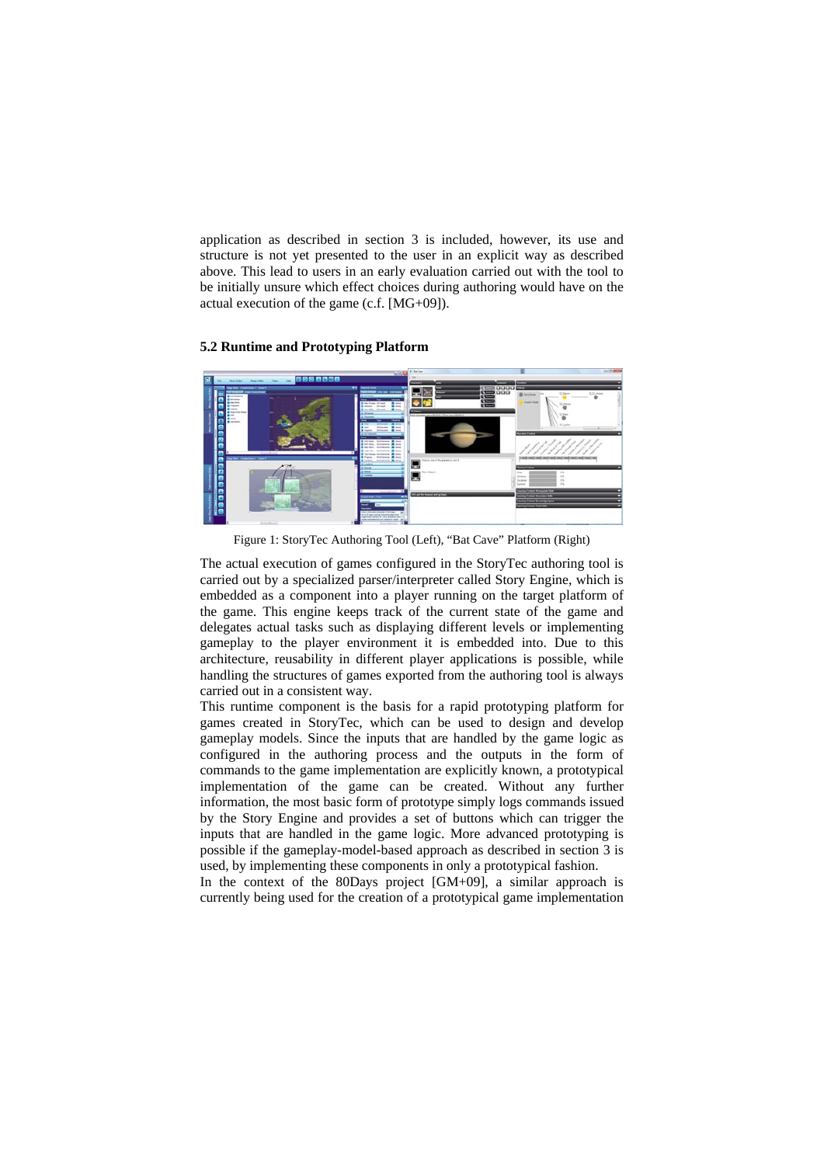application as described in section 3 is included, however, its use and structure is not yet presented to the user in an explicit way as described above. This lead to users in an early evaluation carried out with the tool to be initially unsure which effect choices during authoring would have on the actual execution of the game (c.f. [MG+09]).

### **5.2 Runtime and Prototyping Platform**



Figure 1: StoryTec Authoring Tool (Left), "Bat Cave" Platform (Right)

The actual execution of games configured in the StoryTec authoring tool is carried out by a specialized parser/interpreter called Story Engine, which is embedded as a component into a player running on the target platform of the game. This engine keeps track of the current state of the game and delegates actual tasks such as displaying different levels or implementing gameplay to the player environment it is embedded into. Due to this architecture, reusability in different player applications is possible, while handling the structures of games exported from the authoring tool is always carried out in a consistent way.

This runtime component is the basis for a rapid prototyping platform for games created in StoryTec, which can be used to design and develop gameplay models. Since the inputs that are handled by the game logic as configured in the authoring process and the outputs in the form of commands to the game implementation are explicitly known, a prototypical implementation of the game can be created. Without any further information, the most basic form of prototype simply logs commands issued by the Story Engine and provides a set of buttons which can trigger the inputs that are handled in the game logic. More advanced prototyping is possible if the gameplay-model-based approach as described in section 3 is used, by implementing these components in only a prototypical fashion.

In the context of the 80Days project [GM+09], a similar approach is currently being used for the creation of a prototypical game implementation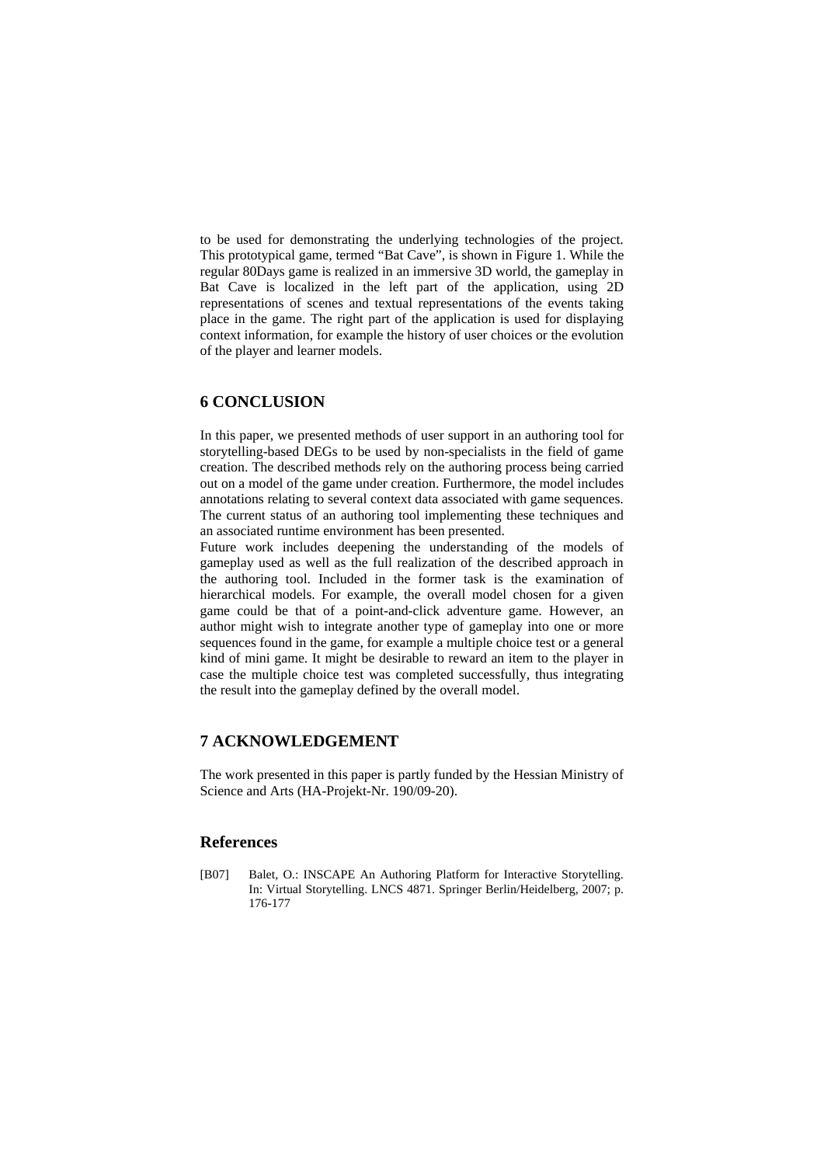to be used for demonstrating the underlying technologies of the project. This prototypical game, termed "Bat Cave", is shown in Figure 1. While the regular 80Days game is realized in an immersive 3D world, the gameplay in Bat Cave is localized in the left part of the application, using 2D representations of scenes and textual representations of the events taking place in the game. The right part of the application is used for displaying context information, for example the history of user choices or the evolution of the player and learner models.

# **6 CONCLUSION**

In this paper, we presented methods of user support in an authoring tool for storytelling-based DEGs to be used by non-specialists in the field of game creation. The described methods rely on the authoring process being carried out on a model of the game under creation. Furthermore, the model includes annotations relating to several context data associated with game sequences. The current status of an authoring tool implementing these techniques and an associated runtime environment has been presented.

Future work includes deepening the understanding of the models of gameplay used as well as the full realization of the described approach in the authoring tool. Included in the former task is the examination of hierarchical models. For example, the overall model chosen for a given game could be that of a point-and-click adventure game. However, an author might wish to integrate another type of gameplay into one or more sequences found in the game, for example a multiple choice test or a general kind of mini game. It might be desirable to reward an item to the player in case the multiple choice test was completed successfully, thus integrating the result into the gameplay defined by the overall model.

### **7 ACKNOWLEDGEMENT**

The work presented in this paper is partly funded by the Hessian Ministry of Science and Arts (HA-Projekt-Nr. 190/09-20).

### **References**

[B07] Balet, O.: INSCAPE An Authoring Platform for Interactive Storytelling. In: Virtual Storytelling. LNCS 4871. Springer Berlin/Heidelberg, 2007; p. 176-177